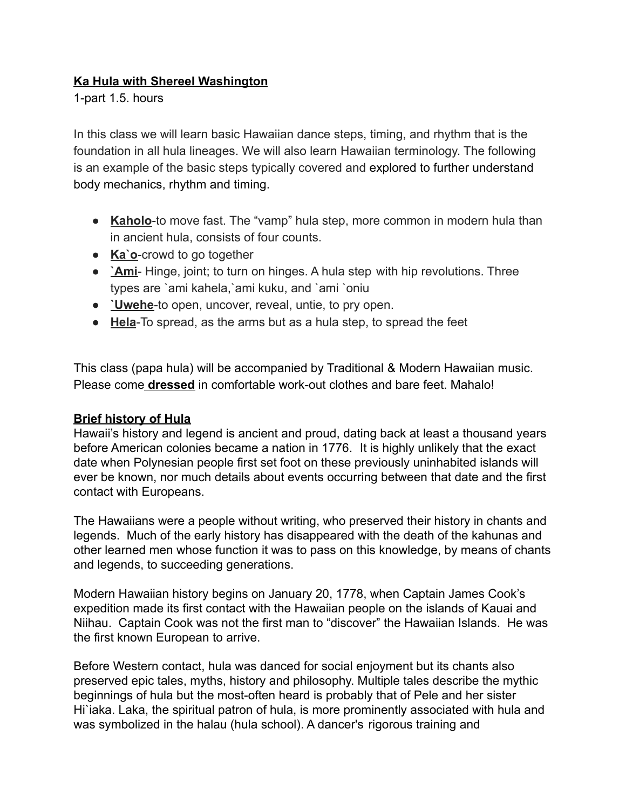## **Ka Hula with Shereel Washington**

1-part 1.5. hours

In this class we will learn basic Hawaiian dance steps, timing, and rhythm that is the foundation in all hula lineages. We will also learn Hawaiian terminology. The following is an example of the basic steps typically covered and explored to further understand body mechanics, rhythm and timing.

- **Kaholo**-to move fast. The "vamp" hula step, more common in modern hula than in ancient hula, consists of four counts.
- **Ka`o**-crowd to go together
- **`Ami** Hinge, joint; to turn on hinges. A hula step with hip revolutions. Three types are `ami kahela,`ami kuku, and `ami `oniu
- **`Uwehe**-to open, uncover, reveal, untie, to pry open.
- **Hela**-To spread, as the arms but as a hula step, to spread the feet

This class (papa hula) will be accompanied by Traditional & Modern Hawaiian music. Please come **dressed** in comfortable work-out clothes and bare feet. Mahalo!

## **Brief history of Hula**

Hawaii's history and legend is ancient and proud, dating back at least a thousand years before American colonies became a nation in 1776. It is highly unlikely that the exact date when Polynesian people first set foot on these previously uninhabited islands will ever be known, nor much details about events occurring between that date and the first contact with Europeans.

The Hawaiians were a people without writing, who preserved their history in chants and legends. Much of the early history has disappeared with the death of the kahunas and other learned men whose function it was to pass on this knowledge, by means of chants and legends, to succeeding generations.

Modern Hawaiian history begins on January 20, 1778, when Captain James Cook's expedition made its first contact with the Hawaiian people on the islands of Kauai and Niihau. Captain Cook was not the first man to "discover" the Hawaiian Islands. He was the first known European to arrive.

Before Western contact, hula was danced for social enjoyment but its chants also preserved epic tales, myths, history and philosophy. Multiple tales describe the mythic beginnings of hula but the most-often heard is probably that of Pele and her sister Hi`iaka. Laka, the spiritual patron of hula, is more prominently associated with hula and was symbolized in the halau (hula school). A dancer's rigorous training and